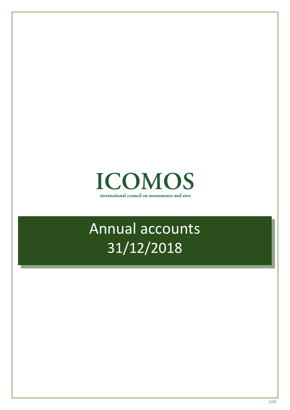

# Annual accounts 31/12/2018

֢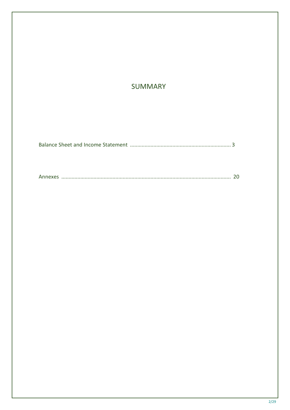# **SUMMARY**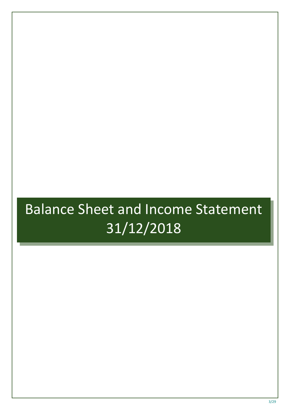# Balance Sheet and Income Statement 31/12/2018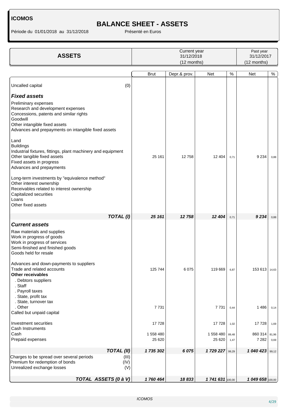Période du 01/01/2018 au 31/12/2018 <br>
Présenté en Euros

## **BALANCE SHEET - ASSETS**

| <b>ASSETS</b>                                                                                                                                                                                                                                                                                                                                                                                                                                                                                                                                                                  |                               | Current year<br>31/12/2018<br>(12 months) |                               |                       | Past year<br>31/12/2017<br>(12 months) |                       |  |
|--------------------------------------------------------------------------------------------------------------------------------------------------------------------------------------------------------------------------------------------------------------------------------------------------------------------------------------------------------------------------------------------------------------------------------------------------------------------------------------------------------------------------------------------------------------------------------|-------------------------------|-------------------------------------------|-------------------------------|-----------------------|----------------------------------------|-----------------------|--|
|                                                                                                                                                                                                                                                                                                                                                                                                                                                                                                                                                                                | <b>Brut</b>                   | Depr.& prov.                              | <b>Net</b>                    | %                     | Net                                    | $\%$                  |  |
| (0)<br>Uncalled capital                                                                                                                                                                                                                                                                                                                                                                                                                                                                                                                                                        |                               |                                           |                               |                       |                                        |                       |  |
| <b>Fixed assets</b>                                                                                                                                                                                                                                                                                                                                                                                                                                                                                                                                                            |                               |                                           |                               |                       |                                        |                       |  |
| Preliminary expenses<br>Research and development expenses<br>Concessions, patents and similar rights<br>Goodwill<br>Other intangible fixed assets<br>Advances and prepayments on intangible fixed assets<br>Land<br><b>Buildings</b><br>Industrial fixtures, fittings, plant machinery and equipment<br>Other tangible fixed assets<br>Fixed assets in progress<br>Advances and prepayments<br>Long-term investments by "equivalence method"<br>Other interest ownership<br>Receivables related to interest ownership<br>Capitalized securities<br>Loans<br>Other fixed assets | 25 161                        | 12758                                     | 12 404                        | 0,71                  | 9 2 3 4                                | 0,88                  |  |
| <b>TOTAL (I)</b>                                                                                                                                                                                                                                                                                                                                                                                                                                                                                                                                                               | 25 161                        | 12 758                                    | 12 404                        | 0,71                  | 9234                                   | 0,88                  |  |
| <b>Current assets</b><br>Raw materials and supplies<br>Work in progress of goods<br>Work in progress of services<br>Semi-finished and finished goods<br>Goods held for resale<br>Advances and down-payments to suppliers<br>Trade and related accounts<br><b>Other receivables</b><br>. Debtors suppliers<br>. Staff<br>. Payroll taxes<br>. State, profit tax<br>. State, turnover tax<br>. Other                                                                                                                                                                             | 125 744                       | 6075                                      | 119 669                       | 6,87                  | $153613$ 14,63                         |                       |  |
| Called but unpaid capital                                                                                                                                                                                                                                                                                                                                                                                                                                                                                                                                                      | 7731                          |                                           | 7 7 3 1                       | 0,44                  | 1486                                   | 0,14                  |  |
| Investment securities<br>Cash Instruments<br>Cash<br>Prepaid expenses                                                                                                                                                                                                                                                                                                                                                                                                                                                                                                          | 17728<br>1 558 480<br>25 6 20 |                                           | 17728<br>1 558 480<br>25 6 20 | 1,02<br>89,48<br>1,47 | 17 728<br>860 314<br>7 2 8 2           | 1,69<br>81,96<br>0,69 |  |
|                                                                                                                                                                                                                                                                                                                                                                                                                                                                                                                                                                                |                               |                                           |                               |                       |                                        |                       |  |
| <b>TOTAL (II)</b><br>Charges to be spread over several periods<br>(III)<br>Premium for redemption of bonds<br>(IV)<br>Unrealized exchange losses<br>(V)                                                                                                                                                                                                                                                                                                                                                                                                                        | 1735302                       | 6 0 7 5                                   | 1729227                       | 99,29                 | 1 040 423                              | 99,12                 |  |
| TOTAL ASSETS (0 à V)                                                                                                                                                                                                                                                                                                                                                                                                                                                                                                                                                           | 1760464                       | 18833                                     | 1 741 631 100,00              |                       | 1 049 658 100,00                       |                       |  |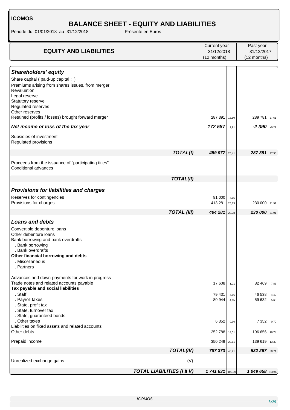# **BALANCE SHEET - EQUITY AND LIABILITIES**

Période du 01/01/2018 au 31/12/2018 Présenté en Euros

|                                                                                                                                                                                                                                       |                                  | Current year                |                      | Past year                   |                      |
|---------------------------------------------------------------------------------------------------------------------------------------------------------------------------------------------------------------------------------------|----------------------------------|-----------------------------|----------------------|-----------------------------|----------------------|
| <b>EQUITY AND LIABILITIES</b>                                                                                                                                                                                                         |                                  | 31/12/2018<br>(12 months)   |                      | 31/12/2017<br>(12 months)   |                      |
|                                                                                                                                                                                                                                       |                                  |                             |                      |                             |                      |
| <b>Shareholders' equity</b><br>Share capital (paid-up capital : )<br>Premiums arising from shares issues, from merger<br>Revaluation<br>Legal reserve<br>Statutory reserve<br>Regulated reserves<br>Other reserves                    |                                  |                             |                      |                             |                      |
| Retained (profits / losses) brought forward merger                                                                                                                                                                                    |                                  | 287 391                     | 16,50                | 289 781                     | 27,61                |
| Net income or loss of the tax year                                                                                                                                                                                                    |                                  | 172 587                     | 9,91                 | $-2390$                     | $-0,22$              |
| Subsidies of investment<br>Regulated provisions                                                                                                                                                                                       |                                  |                             |                      |                             |                      |
|                                                                                                                                                                                                                                       | <b>TOTAL(I)</b>                  | 459 977                     | 26,41                | 287 391                     | 27,38                |
| Proceeds from the issuance of "participating titles"<br>Conditional advances                                                                                                                                                          |                                  |                             |                      |                             |                      |
|                                                                                                                                                                                                                                       | TOTAL(II)                        |                             |                      |                             |                      |
| <b>Provisions for liabilities and charges</b>                                                                                                                                                                                         |                                  |                             |                      |                             |                      |
| Reserves for contingencies<br>Provisions for charges                                                                                                                                                                                  |                                  | 81 000<br>413 281           | 4,65<br>23,73        | 230 000                     | 21,91                |
|                                                                                                                                                                                                                                       | <b>TOTAL (III)</b>               | 494 281                     | 28,38                | 230 000                     | 21,91                |
| <b>Loans and debts</b><br>Convertible debenture loans<br>Other debenture loans<br>Bank borrowing and bank overdrafts<br>. Bank borrowing<br>. Bank overdrafts<br>Other financial borrowing and debts<br>. Miscellaneous<br>. Partners |                                  |                             |                      |                             |                      |
| Advances and down-payments for work in progress<br>Trade notes and related accounts payable<br>Tax payable and social liabilities                                                                                                     |                                  | 17 608                      | 1,01                 | 82 469                      | 7,86                 |
| . Staff<br>. Payroll taxes<br>. State, profit tax<br>. State, turnover tax<br>. State, guaranteed bonds<br>. Other taxes                                                                                                              |                                  | 79 431<br>80 944<br>6 3 5 2 | 4,56<br>4,65<br>0,36 | 46 538<br>59 632<br>7 3 5 2 | 4,43<br>5,68<br>0,70 |
| Liabilities on fixed assets and related accounts<br>Other debts                                                                                                                                                                       |                                  | 252 788                     | 14,51                | 196 656                     | 18,74                |
| Prepaid income                                                                                                                                                                                                                        |                                  | 350 249                     | 20,11                | 139 619                     | 13,30                |
|                                                                                                                                                                                                                                       | <b>TOTAL(IV)</b>                 | 787 373                     | 45,21                | 532 267                     | 50,71                |
| Unrealized exchange gains                                                                                                                                                                                                             | (V)                              |                             |                      |                             |                      |
|                                                                                                                                                                                                                                       | <b>TOTAL LIABILITIES (I à V)</b> | 1 741 631 100,00            |                      | 1 049 658 100,00            |                      |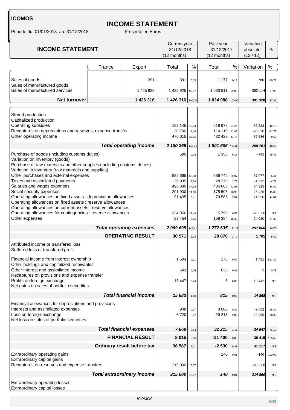## **INCOME STATEMENT**

Période du 01/01/2018 au 31/12/2018 Présenté en Euros

| <b>INCOME STATEMENT</b>                                                                                                                                                                                                |        | Current year<br>31/12/2018<br>(12 months) |                              | Past year<br>31/12/2017<br>(12 months) |                             | Variation<br>absolute<br>(12/12) | $\%$                         |                             |
|------------------------------------------------------------------------------------------------------------------------------------------------------------------------------------------------------------------------|--------|-------------------------------------------|------------------------------|----------------------------------------|-----------------------------|----------------------------------|------------------------------|-----------------------------|
|                                                                                                                                                                                                                        | France | Export                                    | Total                        | $\%$                                   | Total                       | $\%$                             | Variation                    | $\%$                        |
| Sales of goods<br>Sales of manufactured goods                                                                                                                                                                          |        | 391                                       | 391                          | 0,03                                   | 1 1 7 7                     | 0,11                             | -786                         | $-66,77$                    |
| Sales of manufactured services                                                                                                                                                                                         |        | 1 425 925                                 | 1 425 925                    | 99,97                                  | 1 033 811                   | 99,89                            | 392 114                      | 37,93                       |
| <b>Net turnover</b>                                                                                                                                                                                                    |        | 1 426 316                                 | 1426 316 100,00              |                                        | 1 034 988                   | 100,00                           | 391 328                      | 37,81                       |
| Stored production<br>Capitalized production<br>Operating subsidies<br>Recaptures on deprecations and reserves, expense transfer<br>Other operating income                                                              |        | 183 145<br>20790<br>470 015               | 12,84<br>1,46<br>32,95       | 219 978<br>114 110<br>432 429          | 21,25<br>11,03<br>41,78     | $-36833$<br>-93 320<br>37 586    | $-16,73$<br>$-81,77$<br>8,69 |                             |
|                                                                                                                                                                                                                        |        | <b>Total operating income</b>             | 2 100 266                    | 147,25                                 | 1801505                     | 174,06                           | 298 761                      | 16,58                       |
| Purchase of goods (including customs duties)<br>Variation on inventory (goods)<br>Purchase of raw materials and other supplies (including customs duties)<br>Variation in inventory (raw materials and supplies)       |        |                                           | 590                          | 0,04                                   | 1 3 5 5                     | 0,13                             | $-765$                       | $-56,45$                    |
| Other purchases and external expenses<br>Taxes and assimilated payments<br>Salaries and wages expenses                                                                                                                 |        |                                           | 832 665<br>26 935<br>498 330 | 58,38<br>1,89<br>34,94                 | 889742<br>28 270<br>434 005 | 85,97<br>2,73<br>41,93           | -57 077<br>$-1335$<br>64 325 | $-6,41$<br>$-4,71$<br>14,82 |
| Social security expenses<br>Operating allowances on fixed assets : depreciation allowances<br>Operating allowances on fixed assets : reserve allowances<br>Operating allowances on current assets : reserve allowances |        | 201 930<br>91 4 35                        | 14,16<br>6,41                | 175 505<br>79 585                      | 16,96<br>7,69               | 26 4 25<br>11 850                | 15,06<br>14,89               |                             |
| Operating allowances for contingencies : reserve allowances<br>Other expenses                                                                                                                                          |        |                                           | 334 356<br>83 454            | 23,44<br>5,85                          | 5790<br>158 384             | 0.56<br>15,30                    | 328 566<br>-74 930           | N/S<br>$-47,30$             |
|                                                                                                                                                                                                                        |        | <b>Total operating expenses</b>           | 2 069 695                    | 145,11                                 | 1772 635                    | 171,27                           | 297 060                      | 16,76                       |
|                                                                                                                                                                                                                        |        | <b>OPERATING RESULT</b>                   | 30 571                       | 2,14                                   | 28 870                      | 2,79                             | 1701                         | 5,89                        |
| Attributed income or transfered loss<br>Suffered loss or transfered profit                                                                                                                                             |        |                                           |                              |                                        |                             |                                  |                              |                             |
| Financial income from interest ownership<br>Other holdings and capitalized receivables                                                                                                                                 |        |                                           | 1594                         | 0,11                                   | 173                         | 0,02                             | 1 4 2 1                      | 821,39                      |
| Other interest and assimilated income<br>Recaptures on provisions and expense transfer                                                                                                                                 |        |                                           | 643                          | 0,05                                   | 638                         | 0,06                             | 5                            | 0,78                        |
| Profits on foreign exchange<br>Net gains on sales of portfolio securities                                                                                                                                              |        |                                           | 13 4 4 7                     | 0,94                                   | 5                           | 0,00                             | 13 4 42                      | N/S                         |
|                                                                                                                                                                                                                        |        | <b>Total financial income</b>             | 15 683                       | 1,10                                   | 815                         | 0,08                             | 14868                        | N/S                         |
| Financial allowances for depreciations and provisions<br>Interests and assimilated expenses<br>Loss on foreign exchange<br>Net loss on sales of portfolio securities                                                   |        |                                           | 948<br>6720                  | 0,07<br>0,47                           | 3 0 0 0<br>29 215           | 0,29<br>2,82                     | $-2052$<br>$-22495$          | $-68,39$<br>$-76,99$        |
|                                                                                                                                                                                                                        |        | <b>Total financial expenses</b>           | 7668                         | 0,54                                   | 32 215                      | 3,11                             | $-24547$                     | $-76, 19$                   |
|                                                                                                                                                                                                                        |        | <b>FINANCIAL RESULT</b>                   | 8 0 1 5                      | 0,56                                   | $-31400$                    | $-3,02$                          | 39 415                       | 125,53                      |
|                                                                                                                                                                                                                        |        | Ordinary result before tax                | 38 587                       | 2,71                                   | $-2530$                     | $-0,23$                          | 41 117                       | N/S                         |
| Extraordinary operating gains<br>Extraordinary capital gains<br>Recaptures on reserves and expense transfers                                                                                                           |        |                                           | 215 000                      | 15,07                                  | 140                         | 0,01                             | -140<br>215 000              | $-100,00$<br>N/S            |
|                                                                                                                                                                                                                        |        | <b>Total extraordinary income</b>         | 215 000                      |                                        | 140                         |                                  | 214 860                      |                             |
| Extraordinary operating losses<br>Extraordinary capital losses                                                                                                                                                         |        |                                           |                              | 15,07                                  |                             | 0,01                             |                              | N/S                         |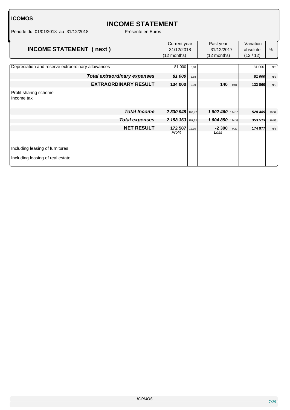### **INCOME STATEMENT**

Période du 01/01/2018 au 31/12/2018 Présenté en Euros

| <b>INCOME STATEMENT (next)</b>                    | Current year<br>31/12/2018<br>(12 months) |       | Past year<br>31/12/2017<br>(12 months) |         | Variation<br>absolute<br>(12/12) | $\%$  |
|---------------------------------------------------|-------------------------------------------|-------|----------------------------------------|---------|----------------------------------|-------|
| Depreciation and reserve extraordinary allowances | 81 000                                    | 5,68  |                                        |         | 81 000                           | N/S   |
| <b>Total extraordinary expenses</b>               | 81 000                                    | 5,68  |                                        |         | 81 000                           | N/S   |
| <b>EXTRAORDINARY RESULT</b>                       | 134 000                                   | 9,39  | 140                                    | 0,01    | 133 860                          | N/S   |
| Profit sharing scheme<br>Income tax               |                                           |       |                                        |         |                                  |       |
| <b>Total Income</b>                               | 2 330 949 163,42                          |       | 1 802 460 174,15                       |         | 528 489                          | 29,32 |
| <b>Total expenses</b>                             | 2 158 363 151,32                          |       | 1804850 174,38                         |         | 353 513                          | 19,59 |
| <b>NET RESULT</b>                                 | 172 587<br>Profit                         | 12,10 | $-2390$                                | $-0,22$ | 174 977                          | N/S   |
|                                                   |                                           |       | Loss                                   |         |                                  |       |
| Including leasing of furnitures                   |                                           |       |                                        |         |                                  |       |
| Including leasing of real estate                  |                                           |       |                                        |         |                                  |       |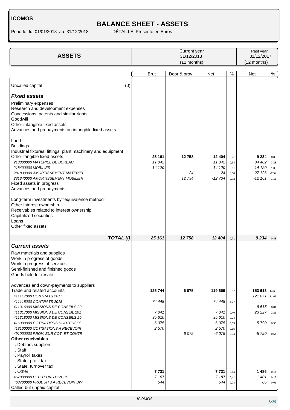Période du 01/01/2018 au 31/12/2018

# **BALANCE SHEET - ASSETS**<br>DÉTAILLÉ Présenté en Euros

| <b>ASSETS</b>                                                                                                                                                                                                                                                                                                                                                                                                                                                                                 |                                          | Current year<br>31/12/2018<br>(12 months) |                                               |                                         | Past year<br>31/12/2017<br>(12 months)               |                                            |  |
|-----------------------------------------------------------------------------------------------------------------------------------------------------------------------------------------------------------------------------------------------------------------------------------------------------------------------------------------------------------------------------------------------------------------------------------------------------------------------------------------------|------------------------------------------|-------------------------------------------|-----------------------------------------------|-----------------------------------------|------------------------------------------------------|--------------------------------------------|--|
|                                                                                                                                                                                                                                                                                                                                                                                                                                                                                               | <b>Brut</b>                              | Depr.& prov.                              | Net                                           | %                                       | Net                                                  | %                                          |  |
| (0)<br>Uncalled capital                                                                                                                                                                                                                                                                                                                                                                                                                                                                       |                                          |                                           |                                               |                                         |                                                      |                                            |  |
| <b>Fixed assets</b>                                                                                                                                                                                                                                                                                                                                                                                                                                                                           |                                          |                                           |                                               |                                         |                                                      |                                            |  |
| Preliminary expenses<br>Research and development expenses<br>Concessions, patents and similar rights<br>Goodwill<br>Other intangible fixed assets<br>Advances and prepayments on intangible fixed assets<br>Land<br><b>Buildings</b><br>Industrial fixtures, fittings, plant machinery and equipment<br>Other tangible fixed assets<br>218300000 MATERIEL DE BUREAU<br>218400000 MOBILIER<br>281830000 AMORTISSEMENT MATERIEL<br>281840000 AMORTISSEMENT MOBILIER<br>Fixed assets in progress | 25 161<br>11 042<br>14 120               | 12758<br>24<br>12 734                     | 12 404<br>11 042<br>14 120<br>-24<br>$-12734$ | 0,71<br>0,63<br>0,81<br>0,00<br>$-0,72$ | 9 2 3 4<br>34 402<br>14 120<br>$-27126$<br>$-12$ 161 | 0,88<br>3,28<br>1,35<br>$-2,57$<br>$-1,15$ |  |
| Advances and prepayments<br>Long-term investments by "equivalence method"<br>Other interest ownership<br>Receivables related to interest ownership<br>Capitalized securities<br>Loans<br>Other fixed assets                                                                                                                                                                                                                                                                                   |                                          |                                           |                                               |                                         |                                                      |                                            |  |
| TOTAL(I)                                                                                                                                                                                                                                                                                                                                                                                                                                                                                      | 25 161                                   | 12 758                                    | 12 404                                        | 0,71                                    | 9 2 3 4                                              | 0,88                                       |  |
| <b>Current assets</b><br>Raw materials and supplies<br>Work in progress of goods<br>Work in progress of services<br>Semi-finished and finished goods<br>Goods held for resale<br>Advances and down-payments to suppliers                                                                                                                                                                                                                                                                      |                                          |                                           |                                               |                                         |                                                      |                                            |  |
| Trade and related accounts                                                                                                                                                                                                                                                                                                                                                                                                                                                                    | 125 744                                  | 6 0 7 5                                   | 119 669                                       | 6,87                                    | 153 613                                              | 14,63                                      |  |
| 411117000 CONTRATS 2017<br>411118000 CONTRATS 2018<br>411316000 MISSIONS DE CONSEILS 20<br>411317000 MISSIONS DE CONSEIL 201<br>411318000 MISSIONS DE CONSEILS 20<br>416000000 COTISATIONS DOUTEUSES<br>418100000 COTISATIONS A RECEVOIR                                                                                                                                                                                                                                                      | 74 448<br>7041<br>35610<br>6075<br>2 570 |                                           | 74 448<br>7041<br>35 610<br>6 0 7 5<br>2 570  | 4,27<br>0,40<br>2,04<br>0,35<br>0,15    | 121871<br>8515<br>23 22 7<br>5790                    | 11,61<br>0,81<br>2,21<br>0,55              |  |
| 491000000 PROV. SUR COT. ET CONTR<br><b>Other receivables</b><br>. Debtors suppliers<br>. Staff<br>. Payroll taxes<br>. State, profit tax<br>. State, turnover tax                                                                                                                                                                                                                                                                                                                            |                                          | 6075                                      | $-6075$                                       | $-0,34$                                 | $-5790$                                              | $-0,54$                                    |  |
| . Other<br>467000000 DEBITEURS DIVERS<br>468700000 PRODUITS A RECEVOIR DIV<br>Called but unpaid capital                                                                                                                                                                                                                                                                                                                                                                                       | 7731<br>7 1 8 7<br>544                   |                                           | 7 7 3 1<br>7 1 8 7<br>544                     | 0,44<br>0,41<br>0,03                    | 1486<br>1401<br>86                                   | 0,14<br>0,13<br>0,01                       |  |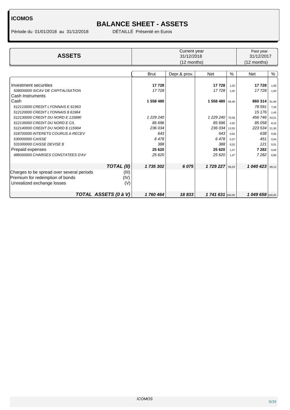#### Période du 01/01/2018 au 31/12/2018

# **BALANCE SHEET - ASSETS**

| <b>ASSETS</b>                                                                                              |                      |                | Current year<br>31/12/2018<br>(12 months) |                  |              |                  |              |
|------------------------------------------------------------------------------------------------------------|----------------------|----------------|-------------------------------------------|------------------|--------------|------------------|--------------|
|                                                                                                            |                      |                |                                           |                  |              |                  |              |
|                                                                                                            |                      | <b>Brut</b>    | Depr.& prov.                              | <b>Net</b>       | %            | <b>Net</b>       | %            |
| Investment securities<br>508000000 SICAV DE CAPITALISATION                                                 |                      | 17728<br>17728 |                                           | 17728<br>17728   | 1.02<br>1.02 | 17728<br>17728   | 1,69<br>1,69 |
| Cash Instruments                                                                                           |                      |                |                                           |                  |              |                  |              |
| Cash                                                                                                       |                      | 1 558 480      |                                           | 1 558 480        | 89.48        | 860 314          | 81,96        |
| 512110000 CREDIT LYONNAIS E 61963<br>512120000 CREDIT LYONNAIS \$ 61964                                    |                      |                |                                           |                  |              | 78 591<br>15 176 | 7,49<br>1,45 |
| 512130000 CREDIT DU NORD E 115890                                                                          |                      | 1 229 240      |                                           | 1 2 2 9 2 4 0    | 70.58        | 456 746          | 43,51        |
| 512135000 CREDIT DU NORD E C/L                                                                             |                      | 85 696         |                                           | 85 696           | 4,92         | 85 058           | 8,10         |
| 512140000 CREDIT DU NORD \$ 115904                                                                         |                      | 236 034        |                                           | 236 034          | 13,55        | 223 534          | 21,30        |
| 518700000 INTERETS COURUS A RECEV                                                                          |                      | 643            |                                           | 643              | 0.04         | 638              | 0,06         |
| 530000000 CAISSE                                                                                           |                      | 6478           |                                           | 6478             | 0,37         | 451              | 0,04         |
| 531000000 CAISSE DEVISE \$                                                                                 |                      | 388            |                                           | 388              | 0,02         | 121              | 0,01         |
| Prepaid expenses                                                                                           |                      | 25 6 20        |                                           | 25 6 20          | 1.47         | 7 2 8 2          | 0,69         |
| 486000000 CHARGES CONSTATEES D'AV                                                                          |                      | 25 6 20        |                                           | 25 6 20          | 1,47         | 7282             | 0.69         |
|                                                                                                            | <b>TOTAL (II)</b>    | 1 735 302      | 6075                                      | 1729227          | 99,29        | 1 040 423        | 99,12        |
| Charges to be spread over several periods<br>Premium for redemption of bonds<br>Unrealized exchange losses | (III)<br>(IV)<br>(V) |                |                                           |                  |              |                  |              |
|                                                                                                            | TOTAL ASSETS (0 à V) | 1760464        | 18833                                     | 1 741 631 100,00 |              | 1 049 658 100,00 |              |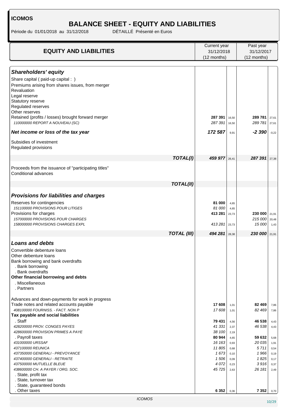# **BALANCE SHEET - EQUITY AND LIABILITIES**

Période du 01/01/2018 au 31/12/2018 DÉTAILLÉ Présenté en Euros

| <b>EQUITY AND LIABILITIES</b>                                                         | Current year<br>31/12/2018 |                | Past year<br>31/12/2017 |                |
|---------------------------------------------------------------------------------------|----------------------------|----------------|-------------------------|----------------|
|                                                                                       | (12 months)                |                | (12 months)             |                |
|                                                                                       |                            |                |                         |                |
| <b>Shareholders' equity</b>                                                           |                            |                |                         |                |
| Share capital (paid-up capital : )                                                    |                            |                |                         |                |
| Premiums arising from shares issues, from merger                                      |                            |                |                         |                |
| Revaluation                                                                           |                            |                |                         |                |
| Legal reserve                                                                         |                            |                |                         |                |
| Statutory reserve                                                                     |                            |                |                         |                |
| Regulated reserves                                                                    |                            |                |                         |                |
| Other reserves                                                                        |                            |                |                         |                |
| Retained (profits / losses) brought forward merger<br>110000000 REPORT A NOUVEAU (SC) | 287 391<br>287 391         | 16,50<br>16,50 | 289 781<br>289 781      | 27,61<br>27,61 |
|                                                                                       |                            |                |                         |                |
| Net income or loss of the tax year                                                    | 172 587                    | 9,91           | $-2390$                 | $-0,22$        |
| Subsidies of investment                                                               |                            |                |                         |                |
| Regulated provisions                                                                  |                            |                |                         |                |
|                                                                                       |                            |                |                         |                |
| <b>TOTAL(I)</b>                                                                       | 459 977                    | 26,41          | 287 391                 | 27,38          |
|                                                                                       |                            |                |                         |                |
| Proceeds from the issuance of "participating titles"<br>Conditional advances          |                            |                |                         |                |
|                                                                                       |                            |                |                         |                |
| <b>TOTAL(II)</b>                                                                      |                            |                |                         |                |
|                                                                                       |                            |                |                         |                |
| <b>Provisions for liabilities and charges</b>                                         |                            |                |                         |                |
| Reserves for contingencies                                                            | 81 000                     | 4,65           |                         |                |
| 151100000 PROVISIONS POUR LITIGES                                                     | 81 000                     | 4,65           |                         |                |
| Provisions for charges                                                                | 413 281                    | 23,73          | 230 000                 | 21,91          |
| 157000000 PROVISIONS POUR CHARGES                                                     |                            |                | 215 000                 | 20,48          |
| 158000000 PROVISIONS CHARGES EXPL                                                     | 413281                     | 23,73          | 15 000                  | 1,43           |
| <b>TOTAL (III)</b>                                                                    | 494 281                    | 28,38          | 230 000                 | 21,91          |
|                                                                                       |                            |                |                         |                |
| <b>Loans and debts</b>                                                                |                            |                |                         |                |
| Convertible debenture loans                                                           |                            |                |                         |                |
| Other debenture loans                                                                 |                            |                |                         |                |
| Bank borrowing and bank overdrafts                                                    |                            |                |                         |                |
| . Bank borrowing                                                                      |                            |                |                         |                |
| . Bank overdrafts                                                                     |                            |                |                         |                |
| Other financial borrowing and debts                                                   |                            |                |                         |                |
| . Miscellaneous<br>. Partners                                                         |                            |                |                         |                |
|                                                                                       |                            |                |                         |                |
| Advances and down-payments for work in progress                                       |                            |                |                         |                |
| Trade notes and related accounts payable                                              | 17 608                     | 1,01           | 82 469                  | 7,86           |
| 408100000 FOURNISS. - FACT. NON P                                                     | 17608                      | 1,01           | 82 469                  | 7,86           |
| Tax payable and social liabilities                                                    |                            |                |                         |                |
| . Staff                                                                               | 79 431                     | 4,56           | 46 538                  | 4,43           |
| 428200000 PROV. CONGES PAYES                                                          | 41 331                     | 2,37           | 46 538                  | 4,43           |
| 428600000 PROVISION PRIMES A PAYE                                                     | 38 100                     | 2,19           |                         |                |
| . Payroll taxes                                                                       | 80 944                     | 4,65           | 59 632                  | 5,68           |
| 431000000 URSSAF                                                                      | 16 163                     | 0,93           | 20 035                  | 1,91           |
| 437100000 REUNICA<br>437350000 GENERALI - PREVOYANCE                                  | 11805<br>1673              | 0,68           | 5711<br>1966            | 0,54           |
| 437400000 GENERALI - RETRAITE                                                         | 1506                       | 0,10<br>0,09   | 1825                    | 0, 19<br>0,17  |
| 437500000 MUTUELLE BLEUE                                                              | 4 0 7 2                    | 0,23           | 3916                    | 0,37           |
| 438600000 CH. A PAYER / ORG. SOC.                                                     | 45725                      | 2,63           | 26 181                  | 2,49           |
| . State, profit tax                                                                   |                            |                |                         |                |
| . State, turnover tax                                                                 |                            |                |                         |                |
| . State, guaranteed bonds                                                             |                            |                |                         |                |
| . Other taxes                                                                         | 6 3 5 2                    | 0,36           | 7 3 5 2                 | 0,70           |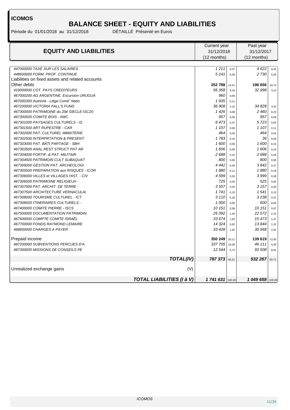# **BALANCE SHEET - EQUITY AND LIABILITIES**

Période du 01/01/2018 au 31/12/2018 DÉTAILLÉ Présenté en Euros

| <b>EQUITY AND LIABILITIES</b>                    |                                  | Current year     |       | Past year   |        |
|--------------------------------------------------|----------------------------------|------------------|-------|-------------|--------|
|                                                  |                                  | 31/12/2018       |       | 31/12/2017  |        |
|                                                  |                                  | (12 months)      |       | (12 months) |        |
| 447000000 TAXE SUR LES SALAIRES                  |                                  | 1211             | 0,07  | 4622        | 0,44   |
| 448600000 FORM. PROF. CONTINUE                   |                                  | 5 1 4 1          | 0,30  | 2 730       | 0,26   |
| Liabilities on fixed assets and related accounts |                                  |                  |       |             |        |
| Other debts                                      |                                  | 252788           | 14,51 | 196 656     | 18,74  |
| 419000000 COT. PAYS CREDITEURS                   |                                  | 56 358           | 3,24  | 32 998      | 3,14   |
| 467000200 AG ARGENTINE, Excursion URUGUA         |                                  | 960              | 0,06  |             |        |
| 467000300 Autriche - Litige Comit" Natio         |                                  | 1935             | 0,11  |             |        |
| 467200000 VICTORIA FALL'S FUND                   |                                  | 36 908           | 2,12  | 34 828      | 3,32   |
| 467300000 PATRIMOINE du 20é SIECLE-ISC20         |                                  | 1426             | 0.08  | 2 460       | 0,23   |
| 467300500 COMITE BOIS - IIWC                     |                                  | 957              | 0,05  | 957         | 0,09   |
| 467301000 PAYSAGES CULTURELS - IS                |                                  | 6473             | 0,37  | 5723        | 0,55   |
| 467301500 ART RUPESTRE - CAR                     |                                  | 1 107            | 0,06  | 1 107       | 0,11   |
| 467302000 PAT. CULTUREL IMMATERIE                |                                  | 464              | 0,03  | 464         | 0,04   |
| 467302500 INTERPRTATION & PRESENT                |                                  | 1783             | 0,10  | 36          | 0,00   |
| 467303000 PAT. BÂTI PARTAGE - SBH                |                                  | 1 600            | 0,09  | 1600        | 0, 15  |
| 467303500 ANAL.REST STRUCT PAT AR                |                                  | 1606             | 0,09  | 1606        | 0, 15  |
| 467304000 FORTIF. & PAT. MILITAIR                |                                  | 2688             | 0,15  | 2688        | 0,26   |
| 467304500 PATRIMOIN CULT SUBAQUAT                |                                  | 800              | 0,05  | 800         | 0,08   |
| 467305000 GESTION PAT. ARCHEOLOGI                |                                  | 4 4 4 2          | 0,26  | 3842        | 0,37   |
| 467305500 PREPARATION aux RISQUES - ICOR         |                                  | 1880             | 0,11  | 1880        | 0,18   |
| 467306000 VILLES et VILLAGES HIST. - CIV         |                                  | 4599             | 0,26  | 3999        | 0,38   |
| 467306500 PATRIMOINE RELIGIEUX -                 |                                  | 725              | 0.04  | 525         | 0,05   |
| 467307000 PAT. ARCHIT. DE TERRE -                |                                  | 3557             | 0,20  | 3 1 5 7     | 0,30   |
| 467307500 ARCHITECTURE VERNACULAI                |                                  | 1741             | 0,10  | 1541        | 0, 15  |
| 467308000 TOURISME CULTUREL - ICT                |                                  | 3 1 1 0          | 0,18  | 3238        | 0,31   |
| 467308500 ITINERAIRES CULTURELS -                |                                  | 1 000            | 0.06  | 600         | 0.06   |
| 467400000 COMITE PIERRE - ISCS                   |                                  | 10 151           | 0,58  | 10 151      | 0,97   |
| 467500000 DOCUMENTATION PATRIMOIN                |                                  | 25 092           | 1,44  | 22 572      | 2,15   |
| 467600000 COMPTE COMITE ISRAËL                   |                                  | 33 674           | 1,93  | 15 473      | 1,47   |
| 467700000 FONDS RAYMOND LEMAIRE                  |                                  | 14 3 24          | 0.82  | 13844       | 1,32   |
| 468600000 CHARGES A PAYER                        |                                  | 33 428           | 1,92  | 30 568      | 2,91   |
| Prepaid income                                   |                                  | 350 249          | 20.11 | 139 619     | 13,30  |
| 487200000 SUBVENTIONS PERCUES D'A                |                                  | 337 705          | 19,39 | 46 111      | 4,39   |
| 487300000 MISSIONS DE CONSEILS PE                |                                  | 12 544           | 0,72  | 93 508      | 8,91   |
|                                                  | <b>TOTAL(IV)</b>                 | 787 373          | 45,21 | 532 267     | 50,71  |
| Unrealized exchange gains                        | (V)                              |                  |       |             |        |
|                                                  |                                  |                  |       |             |        |
|                                                  | <b>TOTAL LIABILITIES (I à V)</b> | 1 741 631 100,00 |       | 1049658     | 100,00 |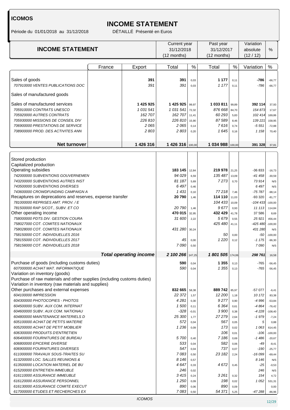# **INCOME STATEMENT**<br>DÉTAILLÉ Présenté en Euros

Période du 01/01/2018 au 31/12/2018

|                                                                                              |        |                               | Current year       |               | Past year          |                | Variation           |                      |
|----------------------------------------------------------------------------------------------|--------|-------------------------------|--------------------|---------------|--------------------|----------------|---------------------|----------------------|
| <b>INCOME STATEMENT</b>                                                                      |        | 31/12/2018                    |                    | 31/12/2017    |                    | absolute       | $\%$                |                      |
|                                                                                              |        |                               | (12 months)        |               | (12 months)        |                | (12/12)             |                      |
|                                                                                              | France | Export                        | Total              | $\%$          | Total              | $\%$           | Variation           | $\%$                 |
|                                                                                              |        |                               |                    |               |                    |                |                     |                      |
| Sales of goods                                                                               |        | 391                           | 391                | 0.03          | 1 1 7 7            | 0,11           | -786                | $-66,77$             |
| 707910000 VENTES PUBLICATIONS DOC                                                            |        | 391                           | 391                | 0,03          | 1 177              | 0,11           | $-786$              | $-66,77$             |
|                                                                                              |        |                               |                    |               |                    |                |                     |                      |
| Sales of manufactured goods                                                                  |        |                               |                    |               |                    |                |                     |                      |
| Sales of manufactured services                                                               |        | 1 425 925                     | 1425925            | 99,97         | 1 033 811          | 99,89          | 392 114             | 37,93                |
| 705910000 CONTRATS UNESCO                                                                    |        | 1 031 541                     | 1031541            | 72,32         | 876 668            | 84,70          | 154 873             | 17,67                |
| 705920000 AUTRES CONTRATS                                                                    |        | 162 707                       | 162 707            | 11,41         | 60 293             | 5,83           | 102 414             | 169,86               |
| 705930000 MISSIONS DE CONSEIL DIV                                                            |        | 226810<br>2 0 6 5             | 226810             | 15,90         | 87 589<br>7616     | 8,46           | 139 221             | 158,95               |
| 706900000 PRESTATIONS DE SERVICE<br>708900000 PROD. DES ACTIVITES ANN                        |        | 2 803                         | 2065<br>2803       | 0,14<br>0,20  | 1645               | 0,74<br>0,16   | $-5551$<br>1 1 5 8  | $-72,88$<br>70,40    |
|                                                                                              |        |                               |                    |               |                    |                |                     |                      |
| Net turnover                                                                                 |        | 1426316                       | 1426 316 100,00    |               | 1 034 988 100,00   |                | 391 328             | 37,81                |
|                                                                                              |        |                               |                    |               |                    |                |                     |                      |
| Stored production                                                                            |        |                               |                    |               |                    |                |                     |                      |
| Capitalized production                                                                       |        |                               |                    |               |                    |                |                     |                      |
| Operating subsidies<br>742000000 SUBVENTIONS GOUVERNEMEN                                     |        |                               | 183 145<br>94 0 29 | 12,84<br>6,59 | 219 978<br>135 487 | 21,25<br>13,09 | -36 833<br>$-41458$ | $-16,73$<br>$-30,59$ |
| 743200000 SUBVENTIONS AUTRES INST                                                            |        |                               | 81 187             | 5,69          | 7273               | 0,70           | 73914               | N/S                  |
| 743500000 SUBVENTIONS DIVERSES                                                               |        |                               | 6497               | 0,46          |                    |                | 6497                | N/S                  |
| 743600000 CROWDFUNDING CAMPAIGN A                                                            |        |                               | 1431               | 0,10          | 77218              | 7,46           | -75 787             | $-98,14$             |
| Recaptures on deprecations and reserves, expense transfer                                    |        |                               | 20790              | 1,46          | 114 110            | 11,03          | -93 320             | $-81,77$             |
| 781000000 REPRISES AMT. PROV. / E                                                            |        |                               |                    |               | 104 433            | 10,09          | $-104433$           | $-100,00$            |
| 781500000 RAP S/COT., SUBV. ET CO                                                            |        |                               | 20790              | 1,46          | 9677               | 0,93           | 11 113              | 114,84               |
| Other operating income                                                                       |        |                               | 470 015            | 32,95         | 432 429            | 41,78          | 37 586              | 8,69                 |
| 758000000 PDTS DIV. GESTION COURA<br>758027000 COT. COMITES NATIONAUX                        |        |                               | 31 600             | 2,22          | 5679<br>425 480    | 0,55<br>41,11  | 25 9 21<br>-425 480 | 456,44<br>$-100,00$  |
| 758028000 COT. COMITES NATIONAUX                                                             |        |                               | 431 280            | 30,24         |                    |                | 431 280             | N/S                  |
| 758150000 COT. INDIVIDUELLES 2016                                                            |        |                               |                    |               | 50                 | 0,00           | $-50$               | $-100,00$            |
| 758155000 COT. INDIVIDUELLES 2017                                                            |        |                               | 45                 | 0,00          | 1220               | 0,12           | $-1175$             | $-96,30$             |
| 758156000 COT. INDIVIDUELLES 2018                                                            |        |                               | 7090               | 0,50          |                    |                | 7090                | N/S                  |
|                                                                                              |        | <b>Total operating income</b> | 2 100 266          | 147,25        | 1801505            | 174,06         | 298 761             | 16,58                |
| Purchase of goods (including customs duties)                                                 |        |                               | 590                | 0,04          | 1 3 5 5            | 0,13           | $-765$              | $-56,45$             |
| 607000000 ACHAT MAT. INFORMATIQUE                                                            |        |                               | 590                | 0,04          | 1 3 5 5            | 0,13           | $-765$              | $-56,45$             |
| Variation on inventory (goods)                                                               |        |                               |                    |               |                    |                |                     |                      |
| Purchase of raw materials and other supplies (including customs duties)                      |        |                               |                    |               |                    |                |                     |                      |
| Variation in inventory (raw materials and supplies)<br>Other purchases and external expenses |        |                               | 832 665            | 58,38         | 889742             | 85,97          | -57 077             | $-6,41$              |
| 604100000 IMPRESSION                                                                         |        |                               | 22 372             | 1,57          | 12 200             | 1,18           | 10 172              | 83,38                |
| 604300000 PHOTOCOPIES - PHOTOS                                                               |        |                               | 4 2 8 1            | 0,30          | 9277               | 0,90           | -4 996              | $-53,84$             |
| 604500000 SUBV, AUX COM, INTERNAT                                                            |        |                               | 1500               | 0,11          | 6 3 6 4            | 0,61           | $-4864$             | $-76,42$             |
| 604600000 SUBV. AUX COM. NATIONAU                                                            |        |                               | $-328$             | $-0,01$       | 3 900              | 0,38           | $-4228$             | $-108,40$            |
| 604800000 MAINTENANCE MATERIELS D                                                            |        |                               | 25 300             | 1,77          | 27279              | 2,64           | $-1979$             | $-7,24$              |
| 605100000 ACHAT DE PETITS MATERIE                                                            |        |                               | 572                | 0,04          | 567                | 0,05           | 5                   | 0,88                 |
| 605200000 ACHAT DE PETIT MOBILIER<br>606300000 PRODUITS D'ENTRETIEN                          |        |                               | 1236               | 0,09          | 173<br>106         | 0,02<br>0,01   | 1063<br>$-106$      | 614,45<br>$-100,00$  |
| 606400000 FOURNITURES DE BUREAU                                                              |        |                               | 5700               | 0,40          | 7 1 8 6            | 0,69           | $-1486$             | $-20,67$             |
| 606800000 EPICERIE DIVERSE                                                                   |        |                               | 533                | 0,04          | 582                | 0,06           | $-49$               | $-8,41$              |
| 606900000 FOURNITURES DIVERSES                                                               |        |                               | 547                | 0,04          | 737                | 0,07           | $-190$              | $-25,77$             |
| 611000000 TRAVAUX SOUS-TRAITES SU                                                            |        |                               | 7083               | 0,50          | 23 182             | 2,24           | $-16099$            | $-69,44$             |
| 613200000 LOC. SALLES REUNIONS &                                                             |        |                               | 8 1 4 6            | 0,57          |                    |                | 8 1 4 6             | N/S                  |
| 613500000 LOCATION MATERIEL DE BU                                                            |        |                               | 4647               | 0,33          | 4 672              | 0,45           | $-25$               | $-0,53$              |
| 615200000 ENTRETIEN IMMEUBLE                                                                 |        |                               | 246                | 0,02          |                    |                | 246                 | N/S                  |
| 616110000 ASSURANCE IMMEUBLE<br>616120000 ASSURANCE PERSONNEL                                |        |                               | 3415<br>1 2 5 0    | 0,24<br>0,09  | 3261<br>198        | 0,32<br>0,02   | 154<br>1 0 5 2      | 4,72<br>531,31       |
| 616130000 ASSURANCE COMITE EXECUT                                                            |        |                               | 890                | 0,06          | 890                | 0,09           |                     | 0,00                 |
| 617000000 ETUDES ET RECHERCHES EX                                                            |        |                               | 7083               | 0,50          | 54 371             | 5,25           | -47 288             | $-86,96$             |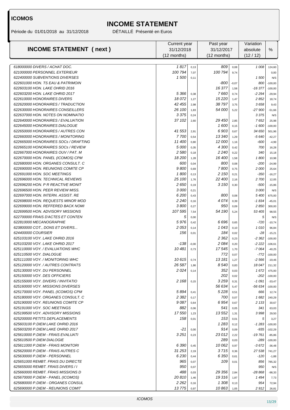Période du 01/01/2018 au 31/12/2018

# **INCOME STATEMENT**<br>DÉTAILLÉ Présenté en Euros

|                                      | Current year |         | Past year     |         | Variation |           |
|--------------------------------------|--------------|---------|---------------|---------|-----------|-----------|
| <b>INCOME STATEMENT (next)</b>       | 31/12/2018   |         | 31/12/2017    |         | absolute  | %         |
|                                      | (12 months)  |         | $(12$ months) |         | (12/12)   |           |
|                                      |              |         |               |         |           |           |
| 618000000 DIVERS / ACHAT DOC.        | 1817         | 0,13    | 809           | 0,08    | 1 008     | 124,60    |
| 621000000 PERSONNEL EXTERIEUR        | 100 794      | 7,07    | 100 794       | 9,74    |           | 0,00      |
| 622400000 SUBVENTIONS DIVERSES       | 1500         | 0,11    |               |         | 1500      | N/S       |
| 622601000 HON. TS EAU & PATRIMOIN    |              |         | -800          | $-0,07$ | 800       | $-100,00$ |
| 622603100 HON. LAKE OHRID 2016       |              |         | 16 377        | 1,58    | $-16377$  | $-100,00$ |
| 622603200 HON, LAKE OHRID 2017       | 5 3 6 6      | 0,38    | 7660          | 0,74    | $-2294$   | $-29,94$  |
| 622610000 HONORAIRES DIVERS          | 18 072       | 1,27    | 15 2 20       | 1,47    | 2 8 5 2   | 18,74     |
| 622620000 HONORAIRES / TRADUCTION    | 42 455       | 2,98    | 38797         | 3,75    | 3658      | 9,43      |
| 622630000 HONORAIRES CONSEILLERS     | 26 100       | 1,83    | 54 000        | 5,22    | -27 900   | $-51,66$  |
| 622637000 HON. NOTES ON NOMINATIO    | 3375         | 0,24    |               |         | 3 3 7 5   | N/S       |
| 622640000 HONORAIRES / EVALUATION    | 37 102       | 2,60    | 29 450        | 2,85    | 7652      | 25,98     |
| 622645000 HONORAIRES DIALOGUE        |              |         | 1600          | 0, 15   | $-1600$   | $-100,00$ |
| 622650000 HONORAIRES / AUTRES CON    | 41 553       | 2,91    | 6903          | 0,67    | 34 650    | 501,96    |
| 622660000 HONORAIRES / MONITORING    | 7700         | 0,54    | 13 340        | 1,29    | $-5640$   | $-42,27$  |
| 622665000 HONORAIRES SOCs / DRAFTING | 11 400       | 0,80    | 12 000        | 1,16    | -600      | $-4,99$   |
| 622665100 HONORAIRES SOCs / REVIEW   | 5 0 0 0      | 0,35    | 4 300         | 0,42    | 700       | 16,28     |
| 622667000 HONORAIRES OUV / PAT. M    | 2 580        | 0,18    | 2 2 4 0       | 0,22    | 340       | 15,18     |
| 622670000 HON. PANEL (ICOMOS) CPM    | 18200        | 1,28    | 16 400        | 1,58    | 1800      | 10,98     |
| 622680000 HON. ORGANES CONSULT. C    | 600          | 0,04    | 800           | 0,08    | $-200$    | $-24,99$  |
| 622690000 HON, REUNIONS COMITE CP    | 9800         | 0,69    | 7800          | 0,75    | 2 000     | 25,64     |
| 622691000 HON. SOC MEETINGS          | 1800         | 0,13    | 2 150         | 0,21    | $-350$    | $-16,27$  |
| 622696000 HON. TECHNICAL REVIEWS     | 25 100       | 1,76    | 22 400        | 2,16    | 2 700     | 12,05     |
| 622696200 HON. P R REACTIVE MONIT    | 2 6 5 0      | 0, 19   | 3 150         | 0,30    | $-500$    | $-15,86$  |
| 622696500 HON. PEER REVIEW MISS.     | 3000         | 0,21    |               |         | 3 000     | N/S       |
| 622697000 HON. INTERN. ASSIST. RE    | 6200         | 0,43    | 800           | 0,08    | 5 400     | 675,00    |
| 622698000 HON. REQUESTS MINOR MOD    | 2 2 4 0      | 0,16    | 4074          | 0,39    | $-1834$   | $-45,01$  |
| 622699000 HON. REFFERED BACK NOMI    | 3800         | 0,27    | 950           | 0,09    | 2 8 5 0   | 300,00    |
| 622699500 HON. ADVISORY MISSIONS     | 107 595      | 7,54    | 54 190        | 5,24    | 53 405    | 98,55     |
| 622700000 FRAIS D'ACTES ET CONTEN    | 5            | 0,00    |               |         | 5         | N/S       |
| 622810000 MECANOGRAPHIE              | 5976         | 0,42    | 6696          | 0,65    | -720      | $-10,74$  |
| 623800000 COT., DONS ET DIVERS       | 2053         | 0,14    | 1043          | 0,10    | 1010      | 96,84     |
| 624400000 COURSIER                   | 156          | 0,01    | 184           | 0,02    | -28       | $-15,21$  |
| 625103100 VOY. LAKE OHRID 2016       |              |         | 2 362         | 0,23    | $-2362$   | $-100,00$ |
| 625103200 VOY, LAKE OHRID 2017       | -138         | $-0,00$ | 2 084         | 0,20    | $-2222$   | $-106,61$ |
| 625110000 VOY. / EVALUATIONS WHC     | 10481        | 0,73    | 17545         | 1,70    | $-7064$   | $-40,25$  |
| 625110500 VOY, DIALOGUE              |              |         | 772           | 0,07    | -772      | $-100,00$ |
| 625111000 VOY. / MONITORING WHC      | 10615        | 0,74    | 13 181        | 1.27    | $-2566$   | $-19,46$  |
| 625120000 VOY. / AUTRES CONTRATS     | 26 587       | 1,86    | 8 540         | 0,83    | 18 047    | 211,32    |
| 625130000 VOY. DU PERSONNEL          | 2024         | 0,14    | 352           | 0,03    | 1672      | 475,00    |
| 625150000 VOY. DES OFFICIERS         |              |         | 202           | 0,02    | $-202$    | $-100,00$ |
| 625155000 VOY. DIVERS / INVITATIO    | 2 1 6 8      | 0,15    | 3259          | 0,31    | $-1091$   | $-33,47$  |
| 625160000 VOY. MISSIONS DIVERSES     |              |         | 56 634        | 5,47    | -56 634   | $-100,00$ |
| 625170000 VOY. PANEL (ICOMOS) CPM    | 5894         | 0,41    | 5 2 2 8       | 0,51    | 666       | 12,74     |
| 625180000 VOY. ORGANES CONSULT. C    | 2 3 8 2      | 0,17    | 700           | 0,07    | 1682      | 240,29    |
| 625190000 VOY. REUNIONS COMITE CP    | 9087         | 0,64    | 6 9 5 4       | 0,67    | 2 1 3 3   | 30,67     |
| 625191000 VOY. SOC MEETINGS          | 882          | 0,06    | 541           | 0,05    | 341       | 63,03     |
| 625199500 VOY, ADVISORY MISSIONS     | 17 550       | 1,23    | 13 552        | 1,31    | 3998      | 29,50     |
| 625200000 PETITS DEPLACEMENTS        | 158          | 0,01    | 153           | 0,01    | 5         | 3,27      |
| 625603100 P.DIEM LAKE OHRID 2016     |              |         | 1 2 8 3       | 0,12    | $-1283$   | $-100,00$ |
| 625603200 P.DIEM LAKE OHRID 2017     | -21          | 0,00    | 914           | 0,09    | $-935$    | $-102,29$ |
| 625610000 P.DIEM - FRAIS EVALUATI    | 3251         | 0,23    | 23 012        | 2,22    | $-19761$  | $-85,86$  |
| 625610500 P.DIEM DIALOGIE            |              |         | 289           | 0,03    | $-289$    | $-100,00$ |
| 625611000 P.DIEM - FRAIS MONITORI    | 6 3 9 0      | 0,45    | 10 062        | 0,97    | $-3672$   | $-36,48$  |
| 625620000 P.DIEM - FRAIS AUTRES C    | 31 253       | 2,19    | 3715          | 0,36    | 27 538    | 741,27    |
| 625630000 P.DIEM - PERSONNEL         | 6230         | 0,44    | 6 350         | 0,61    | $-120$    | $-1,88$   |
| 625651000 REMBT. FRAIS DU DIRECTE    | 965          | 0,07    | 109           | 0,01    | 856       | 785,32    |
| 625655000 REMBT. FRAIS DIVERS / I    | 950          | 0,07    |               |         | 950       | N/S       |
| 625660000 REMBT. FRAIS MISSIONS D    | 488          | 0,03    | 29 356        | 2,84    | -28 868   | $-98,33$  |
| 625670000 P.DIEM - PANEL (ICOMOS)    | 20810        | 1,46    | 19 316        | 1,87    | 1494      | 7,73      |
| 625680000 P.DIEM - ORGANES CONSUL    | 2 2 6 2      | 0,16    | 1 308         | 0,13    | 954       | 72,94     |
| 625690000 P.DIEM - REUNIONS COMIT    | 13775        | 0,97    | 10863         | 1,05    | 2912      | 26,81     |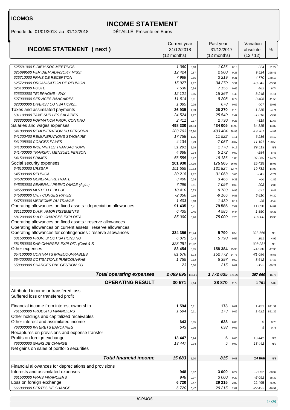Période du 01/01/2018 au 31/12/2018

# **INCOME STATEMENT**<br>DÉTAILLÉ Présenté en Euros

|                                                                      | Current year    |              | Past year      |              | Variation           |                      |
|----------------------------------------------------------------------|-----------------|--------------|----------------|--------------|---------------------|----------------------|
| <b>INCOME STATEMENT (next)</b>                                       | 31/12/2018      |              | 31/12/2017     |              | absolute            | %                    |
|                                                                      | $(12$ months)   |              | (12 months)    |              | (12/12)             |                      |
|                                                                      |                 |              |                |              |                     |                      |
| 625691000 P.DIEM SOC MEETINGS<br>625699500 PER DIEM ADVISORY MISSI   | 1 360<br>12 424 | 0,10         | 1036<br>2 900  | 0,10         | 324<br>9524         | 31,27                |
| 625710000 FRAIS DE RECEPTION                                         | 7989            | 0,87         | 3219           | 0,28<br>0,31 | 4770                | 328,41               |
| 625720000 ORGANISATION DE REUNION                                    | 15927           | 0,56<br>1,12 | 34 2 70        | 3,31         | $-18343$            | 148,18<br>$-53,51$   |
| 626100000 POSTE                                                      | 7638            | 0,54         | 7 1 5 6        | 0,69         | 482                 | 6,74                 |
| 626300000 TELEPHONE - FAX                                            | 12 12 1         | 0,85         | 15 366         | 1,48         | $-3245$             | $-21,11$             |
| 627000000 SERVICES BANCAIRES                                         | 11614           | 0,81         | 8208           | 0,79         | 3 4 0 6             | 41,50                |
| 628000000 DIVERS / COTISATIONS                                       | 1085            | 0,08         | 678            | 0,07         | 407                 | 60,03                |
| Taxes and assimilated payments                                       | 26 935          | 1,89         | 28 270         | 2,73         | $-1335$             | $-4,71$              |
| 631100000 TAXE SUR LES SALAIRES                                      | 24 5 24         | 1,72         | 25 540         | 2,47         | $-1016$             | $-3,97$              |
| 633300000 FORMATION PROF. CONTINU                                    | 2411            | 0,17         | 2 7 30         | 0,26         | $-319$              | $-11,67$             |
| Salaries and wages expenses                                          | 498 330         | 34,94        | 434 005        | 41,93        | 64 325              | 14,82                |
| 641000000 REMUNERATION DU PERSONN                                    | 383703          | 26,90        | 403 404        | 38,98        | $-19701$            | $-4,87$              |
| 641200400 REMUNERATIONS STAGIAIRE                                    | 17758           | 1,25         | 11 522         | 1,11         | 6236                | 54,12                |
| 641208000 CONGES PAYES                                               | 4 1 3 4         | 0,29         | $-7057$        | $-0,67$      | 11 191              | 158,58               |
| 641300000 INDEMNITES TRANSACTIONN                                    | 31291           | 2,19         | 1778           | 0,17         | 29513               | N/S                  |
| 641400000 TRANSPT, MENSUEL PERSON                                    | 4888            | 0,34         | 5 1 7 2        | 0,50         | $-284$              | $-5,48$              |
| 641500000 PRIMES                                                     | 56 555          | 3,97         | 19 186         | 1,85         | 37 369              | 194,77               |
| Social security expenses                                             | 201 930         | 14,16        | 175 505        | 16,96        | 26 4 25             | 15,06                |
| 645100000 URSSAF                                                     | 151 555         | 10,63        | 131824         | 12,74        | 19731               | 14,97                |
| 645300000 REUNICA                                                    | 30218           | 2,12         | 31 063         | 3,00         | -845                | $-2,71$              |
| 645320000 GENERALI RETRAITE                                          | 3400            | 0,24         | 3466           | 0,33         | -66                 | $-1,89$              |
| 645350000 GENERALI PREVOYANCE (Agirc)                                | 7299            | 0,51         | 7096           | 0,69         | 203                 | 2,86                 |
| 645500000 MUTUELLE BLEUE                                             | 10410           | 0,73         | 9783           | 0,95         | 627                 | 6,41                 |
| 645808000 CH. / CONGES PAYES                                         | $-2356$         | $-0,16$      | -9 166         | $-0,88$      | 6810                | 74,30                |
| 647500000 MEDECINE DU TRAVAIL                                        | 1 403           | 0,10         | 1 439          | 0,14         | -36                 | $-2,49$              |
| Operating allowances on fixed assets : depreciation allowances       | 91 435          | 6,41         | 79 585         | 7,69         | 11 850              | 14,89                |
| 681120000 D.A.P. AMORTISSEMENTS<br>681200000 D.A.P. CHARGES EXPLOITA | 6435<br>85 000  | 0,45<br>5,96 | 4585<br>75 000 | 0,44<br>7,25 | 1850<br>10 000      | 40,35<br>13,33       |
| Operating allowances on fixed assets : reserve allowances            |                 |              |                |              |                     |                      |
| Operating allowances on current assets : reserve allowances          |                 |              |                |              |                     |                      |
| Operating allowances for contingencies : reserve allowances          | 334 356         | 23,44        | 5790           | 0,56         | 328 566             | N/S                  |
| 681500000 PROV. S/COTISATIONS NO                                     | 6075            | 0,43         | 5790           | 0,56         | 285                 | 4,92                 |
| 681580000 DAP CHARGES EXPLOIT. (Cont & S                             | 328 281         | 23,02        |                |              | 328 281             | N/S                  |
| Other expenses                                                       | 83 454          | 5,85         | 158 384        | 15,30        | -74 930             | $-47,30$             |
| 654100000 CONTRATS IRRECOUVRABLES                                    | 81 676          | 5,73         | 152 772        | 14,76        | -71 096             | $-46,53$             |
| 654200000 COTISATIONS IRRECOUVRAB                                    | 1755            | 0,12         | 5 397          | 0.52         | $-3642$             | $-67,47$             |
| 658000000 CHARGES DIV. GESTION CO                                    | 23              | 0,00         | 215            | 0,02         | $-192$              | $-89,29$             |
| <b>Total operating expenses</b>                                      | 2 069 695       | 145,11       | 1772 635       | 171,27       | 297 060             | 16,76                |
|                                                                      |                 |              |                |              |                     |                      |
| <b>OPERATING RESULT</b>                                              | 30 571          | 2,14         | 28 870         | 2,79         | 1701                | 5,89                 |
| Attributed income or transfered loss                                 |                 |              |                |              |                     |                      |
| Suffered loss or transfered profit                                   |                 |              |                |              |                     |                      |
| Financial income from interest ownership                             | 1 5 9 4         | 0,11         | 173            | 0,02         | 1 4 2 1             | 821,39               |
| 761500000 PRODUITS FINANCIERS                                        | 1594            | 0,11         | 173            | 0,02         | 1 421               | 821,39               |
| Other holdings and capitalized receivables                           |                 |              |                |              |                     |                      |
| Other interest and assimilated income                                | 643             | 0,05         | 638            | 0,06         | 5                   | 0,78                 |
| 768000000 INTERETS BANCAIRES                                         | 643             | 0,05         | 638            | 0,06         | 5                   | 0,78                 |
| Recaptures on provisions and expense transfer                        |                 |              |                |              |                     |                      |
| Profits on foreign exchange                                          | 13447           | 0,94         | 5              | 0,00         | 13 4 42             | N/S                  |
| 766000000 GAINS DE CHANGE                                            | 13 4 47         | 0,94         | 5              | 0,00         | 13 4 42             | N/S                  |
| Net gains on sales of portfolio securities                           |                 |              |                |              |                     |                      |
| <b>Total financial income</b>                                        | 15 683          | 1,10         | 815            | 0,08         | 14 868              | N/S                  |
|                                                                      |                 |              |                |              |                     |                      |
| Financial allowances for depreciations and provisions                |                 |              |                |              |                     |                      |
| Interests and assimilated expenses<br>661500000 FRAIS FINANCIERS     | 948<br>948      | 0,07         | 3 000<br>3 000 | 0,29         | $-2052$             | $-68,39$             |
| Loss on foreign exchange                                             | 6720            | 0,07<br>0,47 | 29 215         | 0,29<br>2,82 | $-2052$<br>$-22495$ | $-68,39$<br>$-76,99$ |
| 666000000 PERTES DE CHANGE                                           | 6720            | 0,47         | 29 2 15        | 2,82         | -22 495             | $-76,99$             |
|                                                                      |                 |              |                |              |                     |                      |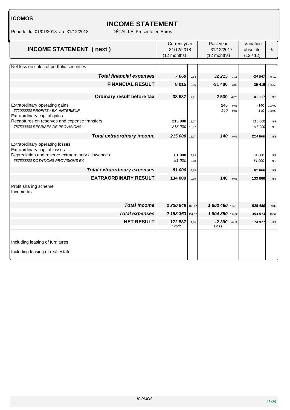Période du 01/01/2018 au 31/12/2018

# **INCOME STATEMENT**<br>DÉTAILLÉ Présenté en Euros

|                                                                  | Current year     |        | Past year      |         | Variation |           |
|------------------------------------------------------------------|------------------|--------|----------------|---------|-----------|-----------|
| <b>INCOME STATEMENT (next)</b>                                   | 31/12/2018       |        | 31/12/2017     |         | absolute  | %         |
|                                                                  | (12 months)      |        | (12 months)    |         | (12/12)   |           |
|                                                                  |                  |        |                |         |           |           |
| Net loss on sales of portfolio securities                        |                  |        |                |         |           |           |
| <b>Total financial expenses</b>                                  | 7668             | 0,54   | 32 215         | 3,11    | $-24547$  | $-76,19$  |
| <b>FINANCIAL RESULT</b>                                          | 8 0 1 5          | 0,56   | $-31400$       | $-3,02$ | 39 415    | 125,53    |
|                                                                  |                  |        |                |         |           |           |
| Ordinary result before tax                                       | 38 587           | 2,71   | $-2530$        | $-0,23$ | 41 117    | N/S       |
| Extraordinary operating gains                                    |                  |        | 140            | 0,01    | $-140$    | $-100,00$ |
| 772000000 PROFITS / EX. ANTERIEUR<br>Extraordinary capital gains |                  |        | 140            | 0,01    | $-140$    | $-100,00$ |
| Recaptures on reserves and expense transfers                     | 215 000          | 15,07  |                |         | 215 000   | N/S       |
| 787500000 REPRISES DE PROVISIONS                                 | 215 000          | 15,07  |                |         | 215 000   | N/S       |
| <b>Total extraordinary income</b>                                | 215 000          | 15,07  | 140            | 0,01    | 214 860   | N/S       |
| Extraordinary operating losses<br>Extraordinary capital losses   |                  |        |                |         |           |           |
| Depreciation and reserve extraordinary allowances                | 81 000           | 5,68   |                |         | 81 000    | N/S       |
| 687500000 DOTATIONS PROVISIONS EX                                | 81 000           | 5,68   |                |         | 81 000    | N/S       |
| <b>Total extraordinary expenses</b>                              | 81 000           | 5.68   |                |         | 81 000    | N/S       |
| <b>EXTRAORDINARY RESULT</b>                                      | 134 000          | 9,39   | 140            | 0,01    | 133 860   | N/S       |
| Profit sharing scheme<br>Income tax                              |                  |        |                |         |           |           |
| <b>Total Income</b>                                              | 2 330 949        | 163,42 | 1802 460       | 174,15  | 528 489   | 29,32     |
| <b>Total expenses</b>                                            | 2 158 363 151,32 |        | 1804850 174,38 |         | 353 513   | 19,59     |
| <b>NET RESULT</b>                                                | 172 587          | 12,10  | $-2390$        | $-0.22$ | 174 977   | N/S       |
|                                                                  | Profit           |        | Loss           |         |           |           |
|                                                                  |                  |        |                |         |           |           |
| Including leasing of furnitures                                  |                  |        |                |         |           |           |
| Including leasing of real estate                                 |                  |        |                |         |           |           |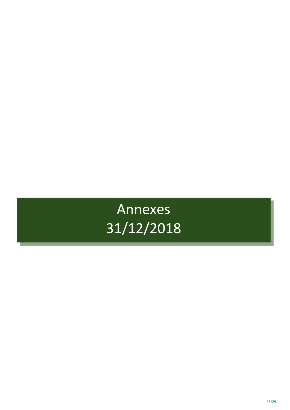# Annexes 31/12/2018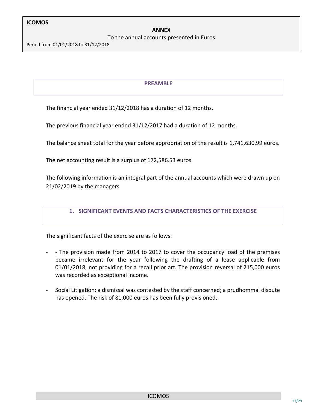#### To the annual accounts presented in Euros

Period from 01/01/2018 to 31/12/2018

#### **PREAMBLE**

The financial year ended 31/12/2018 has a duration of 12 months.

The previous financial year ended 31/12/2017 had a duration of 12 months.

The balance sheet total for the year before appropriation of the result is 1,741,630.99 euros.

The net accounting result is a surplus of 172,586.53 euros.

The following information is an integral part of the annual accounts which were drawn up on 21/02/2019 by the managers

#### **1. SIGNIFICANT EVENTS AND FACTS CHARACTERISTICS OF THE EXERCISE**

The significant facts of the exercise are as follows:

- - The provision made from 2014 to 2017 to cover the occupancy load of the premises became irrelevant for the year following the drafting of a lease applicable from 01/01/2018, not providing for a recall prior art. The provision reversal of 215,000 euros was recorded as exceptional income.
- Social Litigation: a dismissal was contested by the staff concerned; a prudhommal dispute has opened. The risk of 81,000 euros has been fully provisioned.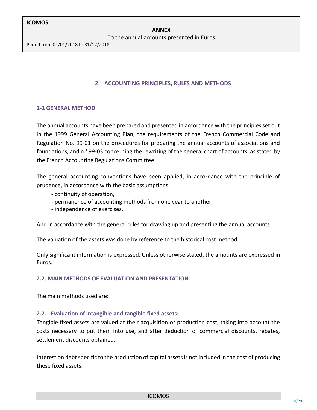To the annual accounts presented in Euros

Period from 01/01/2018 to 31/12/2018

#### **2. ACCOUNTING PRINCIPLES, RULES AND METHODS**

#### **2-1 GENERAL METHOD**

The annual accounts have been prepared and presented in accordance with the principles set out in the 1999 General Accounting Plan, the requirements of the French Commercial Code and Regulation No. 99-01 on the procedures for preparing the annual accounts of associations and foundations, and n ° 99-03 concerning the rewriting of the general chart of accounts, as stated by the French Accounting Regulations Committee.

The general accounting conventions have been applied, in accordance with the principle of prudence, in accordance with the basic assumptions:

- continuity of operation,
- permanence of accounting methods from one year to another,
- independence of exercises,

And in accordance with the general rules for drawing up and presenting the annual accounts.

The valuation of the assets was done by reference to the historical cost method.

Only significant information is expressed. Unless otherwise stated, the amounts are expressed in Euros.

#### **2.2. MAIN METHODS OF EVALUATION AND PRESENTATION**

The main methods used are:

#### **2.2.1 Evaluation of intangible and tangible fixed assets:**

Tangible fixed assets are valued at their acquisition or production cost, taking into account the costs necessary to put them into use, and after deduction of commercial discounts, rebates, settlement discounts obtained.

Interest on debt specific to the production of capital assets is not included in the cost of producing these fixed assets.

ICOMOS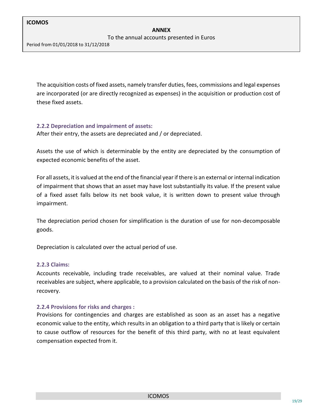To the annual accounts presented in Euros

Period from 01/01/2018 to 31/12/2018

The acquisition costs of fixed assets, namely transfer duties, fees, commissions and legal expenses are incorporated (or are directly recognized as expenses) in the acquisition or production cost of these fixed assets.

#### **2.2.2 Depreciation and impairment of assets:**

After their entry, the assets are depreciated and / or depreciated.

Assets the use of which is determinable by the entity are depreciated by the consumption of expected economic benefits of the asset.

For all assets, it is valued at the end of the financial year if there is an external or internal indication of impairment that shows that an asset may have lost substantially its value. If the present value of a fixed asset falls below its net book value, it is written down to present value through impairment.

The depreciation period chosen for simplification is the duration of use for non-decomposable goods.

Depreciation is calculated over the actual period of use.

#### **2.2.3 Claims:**

Accounts receivable, including trade receivables, are valued at their nominal value. Trade receivables are subject, where applicable, to a provision calculated on the basis of the risk of nonrecovery.

#### **2.2.4 Provisions for risks and charges :**

Provisions for contingencies and charges are established as soon as an asset has a negative economic value to the entity, which results in an obligation to a third party that is likely or certain to cause outflow of resources for the benefit of this third party, with no at least equivalent compensation expected from it.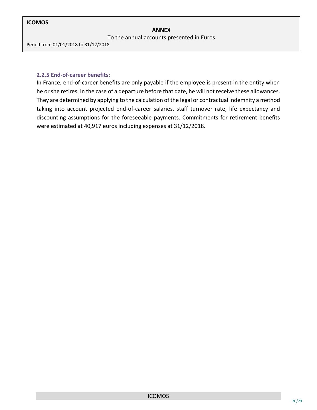To the annual accounts presented in Euros

Period from 01/01/2018 to 31/12/2018

#### **2.2.5 End-of-career benefits:**

In France, end-of-career benefits are only payable if the employee is present in the entity when he or she retires. In the case of a departure before that date, he will not receive these allowances. They are determined by applying to the calculation of the legal or contractual indemnity a method taking into account projected end-of-career salaries, staff turnover rate, life expectancy and discounting assumptions for the foreseeable payments. Commitments for retirement benefits were estimated at 40,917 euros including expenses at 31/12/2018.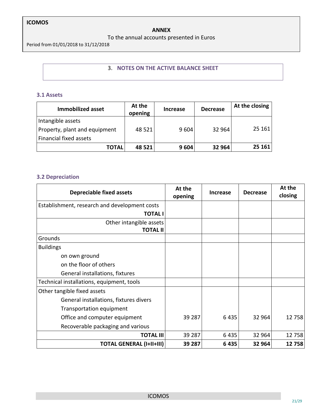#### **ANNEX**

To the annual accounts presented in Euros

Period from 01/01/2018 to 31/12/2018

#### 3. **NOTES ON THE ACTIVE BALANCE SHEET**

#### **3.1 Assets**

| <b>Immobilized asset</b>                                                     | At the<br>opening | <b>Increase</b> | <b>Decrease</b> | At the closing |
|------------------------------------------------------------------------------|-------------------|-----------------|-----------------|----------------|
| Intangible assets<br>Property, plant and equipment<br>Financial fixed assets | 48 521            | 9 6 0 4         | 32 964          | 25 161         |
| TOTAL                                                                        | 48 521            | 9 6 0 4         | 32 964          | 25 161         |

#### **3.2 Depreciation**

| <b>Depreciable fixed assets</b>               | At the<br>opening | Increase | <b>Decrease</b> | At the<br>closing |
|-----------------------------------------------|-------------------|----------|-----------------|-------------------|
| Establishment, research and development costs |                   |          |                 |                   |
| <b>TOTAL I</b>                                |                   |          |                 |                   |
| Other intangible assets                       |                   |          |                 |                   |
| TOTAL II                                      |                   |          |                 |                   |
| Grounds                                       |                   |          |                 |                   |
| <b>Buildings</b>                              |                   |          |                 |                   |
| on own ground                                 |                   |          |                 |                   |
| on the floor of others                        |                   |          |                 |                   |
| General installations, fixtures               |                   |          |                 |                   |
| Technical installations, equipment, tools     |                   |          |                 |                   |
| Other tangible fixed assets                   |                   |          |                 |                   |
| General installations, fixtures divers        |                   |          |                 |                   |
| Transportation equipment                      |                   |          |                 |                   |
| Office and computer equipment                 | 39 287            | 6435     | 32 964          | 12 758            |
| Recoverable packaging and various             |                   |          |                 |                   |
| <b>TOTAL III</b>                              | 39 287            | 6435     | 32 964          | 12758             |
| <b>TOTAL GENERAL (I+II+III)</b>               | 39 287            | 6435     | 32 964          | 12758             |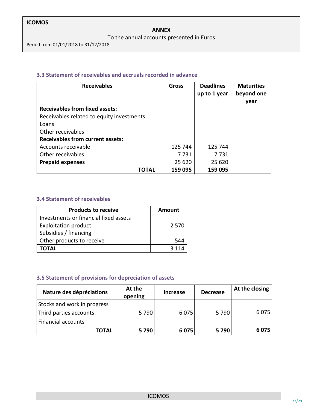#### To the annual accounts presented in Euros

Period from 01/01/2018 to 31/12/2018

#### **3.3 Statement of receivables and accruals recorded in advance**

| <b>Receivables</b>                        | Gross   | <b>Deadlines</b><br>up to 1 year | <b>Maturities</b><br>beyond one |
|-------------------------------------------|---------|----------------------------------|---------------------------------|
|                                           |         |                                  | year                            |
| <b>Receivables from fixed assets:</b>     |         |                                  |                                 |
| Receivables related to equity investments |         |                                  |                                 |
| Loans                                     |         |                                  |                                 |
| Other receivables                         |         |                                  |                                 |
| <b>Receivables from current assets:</b>   |         |                                  |                                 |
| Accounts receivable                       | 125 744 | 125 744                          |                                 |
| Other receivables                         | 7 7 3 1 | 7 7 3 1                          |                                 |
| <b>Prepaid expenses</b>                   | 25 620  | 25 620                           |                                 |
| ΓΟΤΑL                                     | 159 095 | 159 095                          |                                 |

#### **3.4 Statement of receivables**

| <b>Products to receive</b>            | Amount  |
|---------------------------------------|---------|
| Investments or financial fixed assets |         |
| <b>Exploitation product</b>           | 2 5 7 0 |
| Subsidies / financing                 |         |
| Other products to receive             | 544     |
| <b>TOTAL</b>                          |         |

### **3.5 Statement of provisions for depreciation of assets**

| Nature des dépréciations    | At the<br>opening | <b>Increase</b> | <b>Decrease</b> | At the closing |
|-----------------------------|-------------------|-----------------|-----------------|----------------|
| Stocks and work in progress |                   |                 |                 |                |
| Third parties accounts      | 5 7 9 0           | 6075            | 5790            | 6075           |
| <b>Financial accounts</b>   |                   |                 |                 |                |
| <b>TOTAL</b>                | 5790              | 6075            | 5790            | 6075           |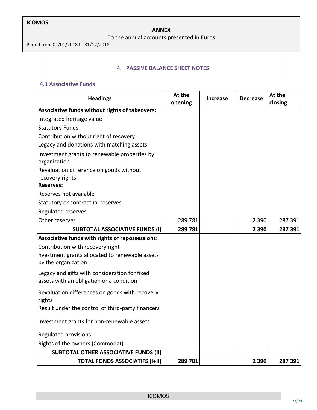#### **ANNEX**

To the annual accounts presented in Euros

Period from 01/01/2018 to 31/12/2018

#### **4. PASSIVE BALANCE SHEET NOTES**

#### **4.1 Associative Funds**

| <b>Headings</b>                                                                           | At the<br>opening | <b>Increase</b> | <b>Decrease</b> | At the<br>closing |
|-------------------------------------------------------------------------------------------|-------------------|-----------------|-----------------|-------------------|
| Associative funds without rights of takeovers:                                            |                   |                 |                 |                   |
| Integrated heritage value                                                                 |                   |                 |                 |                   |
| <b>Statutory Funds</b>                                                                    |                   |                 |                 |                   |
| Contribution without right of recovery                                                    |                   |                 |                 |                   |
| Legacy and donations with matching assets                                                 |                   |                 |                 |                   |
| Investment grants to renewable properties by<br>organization                              |                   |                 |                 |                   |
| Revaluation difference on goods without<br>recovery rights                                |                   |                 |                 |                   |
| <b>Reserves:</b>                                                                          |                   |                 |                 |                   |
| Reserves not available                                                                    |                   |                 |                 |                   |
| Statutory or contractual reserves                                                         |                   |                 |                 |                   |
| Regulated reserves                                                                        |                   |                 |                 |                   |
| Other reserves                                                                            | 289781            |                 | 2 3 9 0         | 287 391           |
| <b>SUBTOTAL ASSOCIATIVE FUNDS (I)</b>                                                     | 289781            |                 | 2 3 9 0         | 287 391           |
| Associative funds with rights of repossessions:                                           |                   |                 |                 |                   |
| Contribution with recovery right                                                          |                   |                 |                 |                   |
| nvestment grants allocated to renewable assets<br>by the organization                     |                   |                 |                 |                   |
| Legacy and gifts with consideration for fixed<br>assets with an obligation or a condition |                   |                 |                 |                   |
| Revaluation differences on goods with recovery<br>rights                                  |                   |                 |                 |                   |
| Result under the control of third-party financers                                         |                   |                 |                 |                   |
| Investment grants for non-renewable assets                                                |                   |                 |                 |                   |
| <b>Regulated provisions</b>                                                               |                   |                 |                 |                   |
| Rights of the owners (Commodat)                                                           |                   |                 |                 |                   |
| <b>SUBTOTAL OTHER ASSOCIATIVE FUNDS (II)</b>                                              |                   |                 |                 |                   |
| <b>TOTAL FONDS ASSOCIATIFS (I+II)</b>                                                     | 289781            |                 | 2 3 9 0         | 287 391           |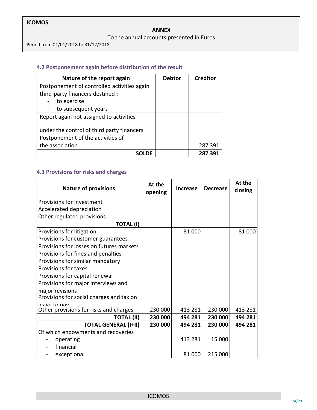#### **ANNEX**

#### To the annual accounts presented in Euros

Period from 01/01/2018 to 31/12/2018

#### **4.2 Postponement again before distribution of the result**

| Nature of the report again                  | <b>Debtor</b> | <b>Creditor</b> |
|---------------------------------------------|---------------|-----------------|
| Postponement of controlled activities again |               |                 |
| third-party financers destined :            |               |                 |
| to exercise                                 |               |                 |
| to subsequent years                         |               |                 |
| Report again not assigned to activities     |               |                 |
| under the control of third party financers  |               |                 |
| Postponement of the activities of           |               |                 |
| the association                             |               | 287391          |
| SOLDF                                       |               | 287 391         |

### **4.3 Provisions for risks and charges**

| <b>Nature of provisions</b>              | At the<br>opening | <b>Increase</b> | <b>Decrease</b> | At the<br>closing |
|------------------------------------------|-------------------|-----------------|-----------------|-------------------|
| Provisions for investment                |                   |                 |                 |                   |
| Accelerated depreciation                 |                   |                 |                 |                   |
| Other regulated provisions               |                   |                 |                 |                   |
| <b>TOTAL (I)</b>                         |                   |                 |                 |                   |
| Provisions for litigation                |                   | 81 000          |                 | 81 000            |
| Provisions for customer guarantees       |                   |                 |                 |                   |
| Provisions for losses on futures markets |                   |                 |                 |                   |
| Provisions for fines and penalties       |                   |                 |                 |                   |
| Provisions for similar mandatory         |                   |                 |                 |                   |
| Provisions for taxes                     |                   |                 |                 |                   |
| Provisions for capital renewal           |                   |                 |                 |                   |
| Provisions for major interviews and      |                   |                 |                 |                   |
| major revisions                          |                   |                 |                 |                   |
| Provisions for social charges and tax on |                   |                 |                 |                   |
| leave to nav                             |                   |                 |                 |                   |
| Other provisions for risks and charges   | 230 000           | 413 281         | 230 000         | 413 281           |
| <b>TOTAL (II)</b>                        | 230 000           | 494 281         | 230 000         | 494 281           |
| <b>TOTAL GENERAL (I+II)</b>              | 230 000           | 494 281         | 230 000         | 494 281           |
| Of which endowments and recoveries       |                   |                 |                 |                   |
| operating                                |                   | 413 281         | 15 000          |                   |
| financial                                |                   |                 |                 |                   |
| exceptional                              |                   | 81 000          | 215 000         |                   |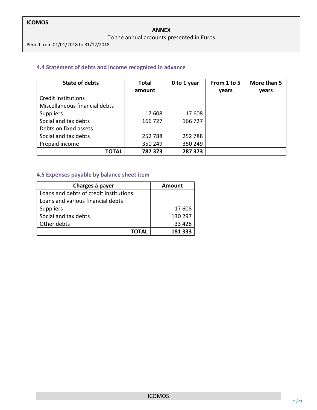#### To the annual accounts presented in Euros

Period from 01/01/2018 to 31/12/2018

#### **4.4 Statement of debts and income recognized in advance**

| <b>State of debts</b>         | <b>Total</b> | 0 to 1 year | From 1 to 5 | More than 5  |
|-------------------------------|--------------|-------------|-------------|--------------|
|                               | amount       |             | vears       | <b>vears</b> |
| Credit institutions           |              |             |             |              |
| Miscellaneous financial debts |              |             |             |              |
| <b>Suppliers</b>              | 17 608       | 17 608      |             |              |
| Social and tax debts          | 166 727      | 166 727     |             |              |
| Debts on fixed assets         |              |             |             |              |
| Social and tax debts          | 252788       | 252 788     |             |              |
| Prepaid income                | 350 249      | 350 249     |             |              |
| <b>TOTAL</b>                  | 787 373      | 787 373     |             |              |

### **4.5 Expenses payable by balance sheet item**

| Charges à payer                        | Amount  |
|----------------------------------------|---------|
| Loans and debts of credit institutions |         |
| Loans and various financial debts      |         |
| <b>Suppliers</b>                       | 17 608  |
| Social and tax debts                   | 130 297 |
| Other debts                            | 33 4 28 |
| OTAL                                   | 181 333 |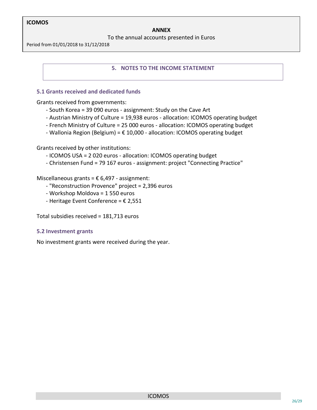#### **ANNEX**

To the annual accounts presented in Euros

Period from 01/01/2018 to 31/12/2018

#### **5. NOTES TO THE INCOME STATEMENT**

#### **5.1 Grants received and dedicated funds**

Grants received from governments:

- South Korea = 39 090 euros assignment: Study on the Cave Art
- Austrian Ministry of Culture = 19,938 euros allocation: ICOMOS operating budget
- French Ministry of Culture = 25 000 euros allocation: ICOMOS operating budget
- Wallonia Region (Belgium) =  $\epsilon$  10,000 allocation: ICOMOS operating budget

Grants received by other institutions:

- ICOMOS USA = 2 020 euros allocation: ICOMOS operating budget
- Christensen Fund = 79 167 euros assignment: project "Connecting Practice"

Miscellaneous grants =  $\epsilon$  6,497 - assignment:

- "Reconstruction Provence" project = 2,396 euros
- Workshop Moldova = 1 550 euros
- Heritage Event Conference =  $\epsilon$  2,551

Total subsidies received = 181,713 euros

#### **5.2 Investment grants**

No investment grants were received during the year.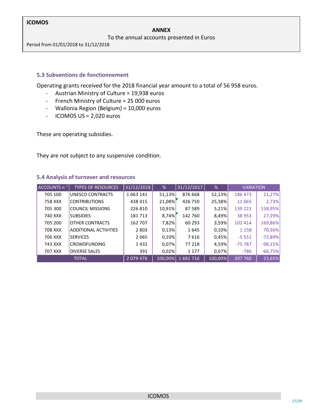#### **ANNEX**

To the annual accounts presented in Euros

Period from 01/01/2018 to 31/12/2018

#### **5.3 Subventions de fonctionnement**

Operating grants received for the 2018 financial year amount to a total of 56 958 euros.

- Austrian Ministry of Culture = 19,938 euros
- French Ministry of Culture = 25 000 euros
- Wallonia Region (Belgium) = 10,000 euros
- ICOMOS US = 2,020 euros

These are operating subsidies.

They are not subject to any suspensive condition.

#### **5.4 Analysis of turnover and resources**

| ACCOUNTS n ° | <b>TYPES OF RESOURCES</b>    | 31/12/2018    | %       | 31/12/2017 | $\frac{9}{6}$ | <b>VARIATION</b> |           |
|--------------|------------------------------|---------------|---------|------------|---------------|------------------|-----------|
| 705 100      | UNESCO CONTRACTS             | 1 0 6 3 1 4 1 | 51,13%  | 876 668    | 52,13%        | 186 473          | 21,27%    |
| 758 XXX      | <b>CONTRIBUTIONS</b>         | 438 415       | 21,08%  | 426 750    | 25,38%        | 11 665           | 2,73%     |
| 705 300      | <b>COUNCIL MISSIONS</b>      | 226 810       | 10,91%  | 87 589     | 5,21%         | 139 221          | 158,95%   |
| 740 XXX      | <b>SUBSIDIES</b>             | 181713        | 8,74%   | 142 760    | 8,49%         | 38 953           | 27,29%    |
| 705 200      | <b>OTHER CONTRACTS</b>       | 162 707       | 7,82%   | 60 293     | 3,59%         | 102 414          | 169,86%   |
| 708 XXX      | <b>ADDITIONAL ACTIVITIES</b> | 2 8 0 3       | 0,13%   | 1645       | 0,10%         | 1 1 5 8          | 70,36%    |
| 706 XXX      | <b>SERVICES</b>              | 2 0 6 5       | 0,10%   | 7616       | 0,45%         | $-5551$          | $-72,89%$ |
| 743 XXX      | <b>CROWDFUNDING</b>          | 1431          | 0.07%   | 77 218     | 4,59%         | $-75787$         | $-98,15%$ |
| 707 XXX      | <b>DIVERSE SALES</b>         | 391           | 0.02%   | 1 1 7 7    | 0,07%         | $-786$           | $-66,75%$ |
| <b>TOTAL</b> |                              | 2079476       | 100,00% | 1681716    | 100,00%       | 397 760          | 23,65%    |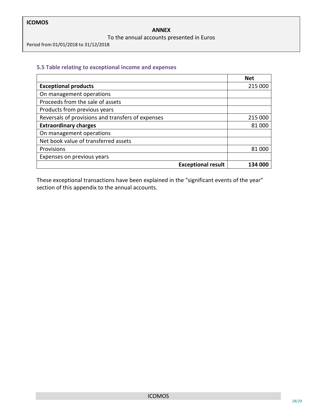#### To the annual accounts presented in Euros

Period from 01/01/2018 to 31/12/2018

#### **5.5 Table relating to exceptional income and expenses**

|                                                   | <b>Net</b> |
|---------------------------------------------------|------------|
| <b>Exceptional products</b>                       | 215 000    |
| On management operations                          |            |
| Proceeds from the sale of assets                  |            |
| Products from previous years                      |            |
| Reversals of provisions and transfers of expenses | 215 000    |
| <b>Extraordinary charges</b>                      | 81.000     |
| On management operations                          |            |
| Net book value of transferred assets              |            |
| Provisions                                        | 81 000     |
| Expenses on previous years                        |            |
| <b>Exceptional result</b>                         |            |

These exceptional transactions have been explained in the "significant events of the year" section of this appendix to the annual accounts.